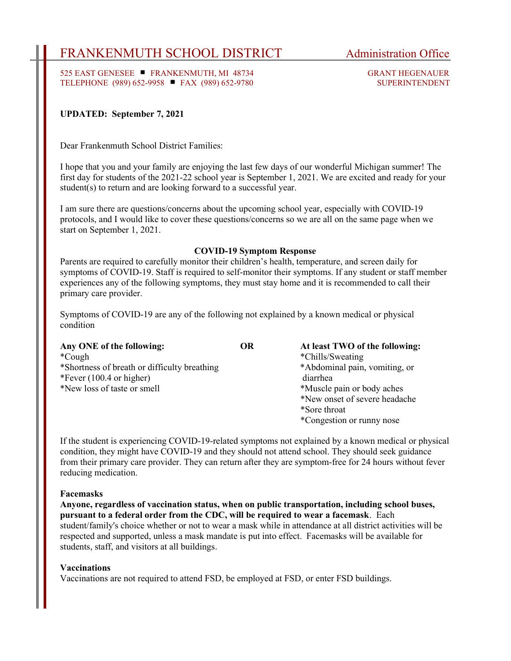# FRANKENMUTH SCHOOL DISTRICT Administration Office

525 EAST GENESEE FRANKENMUTH, MI 48734 GRANT HEGENAUER TELEPHONE (989) 652-9958 ■ FAX (989) 652-9780 SUPERINTENDENT

## UPDATED: September 7, 2021

Dear Frankenmuth School District Families:

I hope that you and your family are enjoying the last few days of our wonderful Michigan summer! The first day for students of the 2021-22 school year is September 1, 2021. We are excited and ready for your student(s) to return and are looking forward to a successful year.

I am sure there are questions/concerns about the upcoming school year, especially with COVID-19 protocols, and I would like to cover these questions/concerns so we are all on the same page when we start on September 1, 2021.

#### COVID-19 Symptom Response

Parents are required to carefully monitor their children's health, temperature, and screen daily for symptoms of COVID-19. Staff is required to self-monitor their symptoms. If any student or staff member experiences any of the following symptoms, they must stay home and it is recommended to call their primary care provider.

Symptoms of COVID-19 are any of the following not explained by a known medical or physical condition

| Any ONE of the following:                    | OR | At least TWO of the following: |
|----------------------------------------------|----|--------------------------------|
| *Cough                                       |    | *Chills/Sweating               |
| *Shortness of breath or difficulty breathing |    | *Abdominal pain, vomiting, or  |
| *Fever $(100.4 \text{ or higher})$           |    | diarrhea                       |
| *New loss of taste or smell                  |    | *Muscle pain or body aches     |
|                                              |    | *New onset of severe headache  |
|                                              |    | *Sore throat                   |
|                                              |    | *Congestion or runny nose      |

If the student is experiencing COVID-19-related symptoms not explained by a known medical or physical condition, they might have COVID-19 and they should not attend school. They should seek guidance from their primary care provider. They can return after they are symptom-free for 24 hours without fever reducing medication.

#### Facemasks

Anyone, regardless of vaccination status, when on public transportation, including school buses, pursuant to a federal order from the CDC, will be required to wear a facemask. Each student/family's choice whether or not to wear a mask while in attendance at all district activities will be respected and supported, unless a mask mandate is put into effect. Facemasks will be available for students, staff, and visitors at all buildings.

#### Vaccinations

Vaccinations are not required to attend FSD, be employed at FSD, or enter FSD buildings.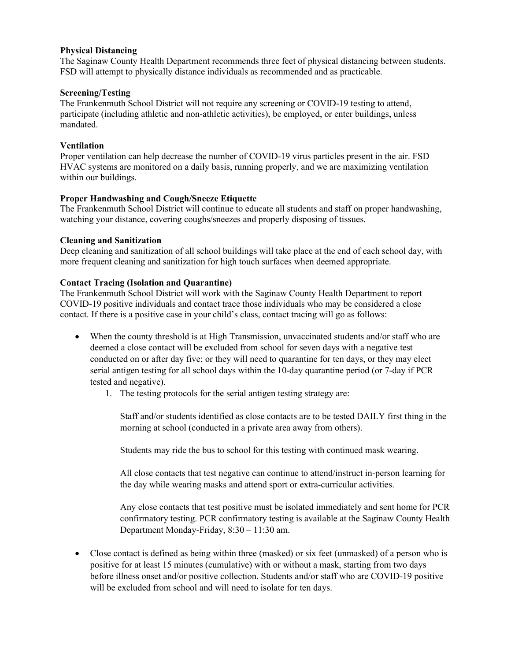### Physical Distancing

The Saginaw County Health Department recommends three feet of physical distancing between students. FSD will attempt to physically distance individuals as recommended and as practicable.

## Screening/Testing

The Frankenmuth School District will not require any screening or COVID-19 testing to attend, participate (including athletic and non-athletic activities), be employed, or enter buildings, unless mandated.

# Ventilation

Proper ventilation can help decrease the number of COVID-19 virus particles present in the air. FSD HVAC systems are monitored on a daily basis, running properly, and we are maximizing ventilation within our buildings.

## Proper Handwashing and Cough/Sneeze Etiquette

The Frankenmuth School District will continue to educate all students and staff on proper handwashing, watching your distance, covering coughs/sneezes and properly disposing of tissues.

### Cleaning and Sanitization

Deep cleaning and sanitization of all school buildings will take place at the end of each school day, with more frequent cleaning and sanitization for high touch surfaces when deemed appropriate.

# Contact Tracing (Isolation and Quarantine)

The Frankenmuth School District will work with the Saginaw County Health Department to report COVID-19 positive individuals and contact trace those individuals who may be considered a close contact. If there is a positive case in your child's class, contact tracing will go as follows:

- When the county threshold is at High Transmission, unvaccinated students and/or staff who are deemed a close contact will be excluded from school for seven days with a negative test conducted on or after day five; or they will need to quarantine for ten days, or they may elect serial antigen testing for all school days within the 10-day quarantine period (or 7-day if PCR tested and negative).
	- 1. The testing protocols for the serial antigen testing strategy are:

Staff and/or students identified as close contacts are to be tested DAILY first thing in the morning at school (conducted in a private area away from others).

Students may ride the bus to school for this testing with continued mask wearing.

All close contacts that test negative can continue to attend/instruct in-person learning for the day while wearing masks and attend sport or extra-curricular activities.

Any close contacts that test positive must be isolated immediately and sent home for PCR confirmatory testing. PCR confirmatory testing is available at the Saginaw County Health Department Monday-Friday, 8:30 – 11:30 am.

 Close contact is defined as being within three (masked) or six feet (unmasked) of a person who is positive for at least 15 minutes (cumulative) with or without a mask, starting from two days before illness onset and/or positive collection. Students and/or staff who are COVID-19 positive will be excluded from school and will need to isolate for ten days.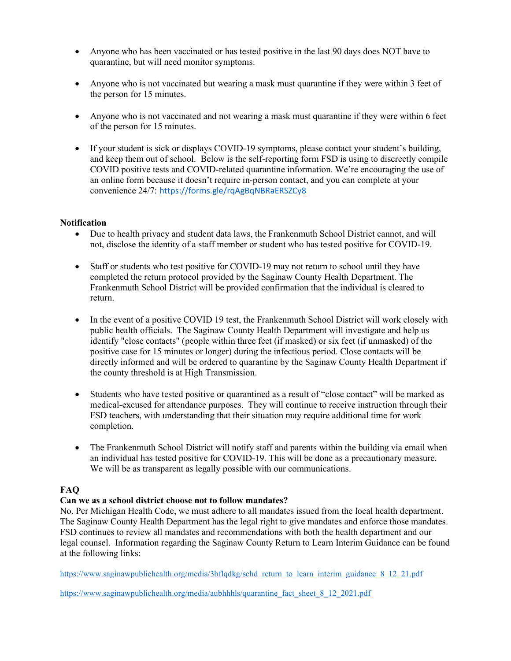- Anyone who has been vaccinated or has tested positive in the last 90 days does NOT have to quarantine, but will need monitor symptoms.
- Anyone who is not vaccinated but wearing a mask must quarantine if they were within 3 feet of the person for 15 minutes.
- Anyone who is not vaccinated and not wearing a mask must quarantine if they were within 6 feet of the person for 15 minutes.
- If your student is sick or displays COVID-19 symptoms, please contact your student's building, and keep them out of school. Below is the self-reporting form FSD is using to discreetly compile COVID positive tests and COVID-related quarantine information. We're encouraging the use of an online form because it doesn't require in-person contact, and you can complete at your convenience 24/7: https://forms.gle/rqAgBqNBRaERSZCy8

### Notification

- Due to health privacy and student data laws, the Frankenmuth School District cannot, and will not, disclose the identity of a staff member or student who has tested positive for COVID-19.
- Staff or students who test positive for COVID-19 may not return to school until they have completed the return protocol provided by the Saginaw County Health Department. The Frankenmuth School District will be provided confirmation that the individual is cleared to return.
- In the event of a positive COVID 19 test, the Frankenmuth School District will work closely with public health officials. The Saginaw County Health Department will investigate and help us identify "close contacts" (people within three feet (if masked) or six feet (if unmasked) of the positive case for 15 minutes or longer) during the infectious period. Close contacts will be directly informed and will be ordered to quarantine by the Saginaw County Health Department if the county threshold is at High Transmission.
- Students who have tested positive or quarantined as a result of "close contact" will be marked as medical-excused for attendance purposes. They will continue to receive instruction through their FSD teachers, with understanding that their situation may require additional time for work completion.
- The Frankenmuth School District will notify staff and parents within the building via email when an individual has tested positive for COVID-19. This will be done as a precautionary measure. We will be as transparent as legally possible with our communications.

# FAQ

### Can we as a school district choose not to follow mandates?

No. Per Michigan Health Code, we must adhere to all mandates issued from the local health department. The Saginaw County Health Department has the legal right to give mandates and enforce those mandates. FSD continues to review all mandates and recommendations with both the health department and our legal counsel. Information regarding the Saginaw County Return to Learn Interim Guidance can be found at the following links:

https://www.saginawpublichealth.org/media/3bflqdkg/schd\_return\_to\_learn\_interim\_guidance\_8\_12\_21.pdf

https://www.saginawpublichealth.org/media/aubhhhls/quarantine\_fact\_sheet\_8\_12\_2021.pdf